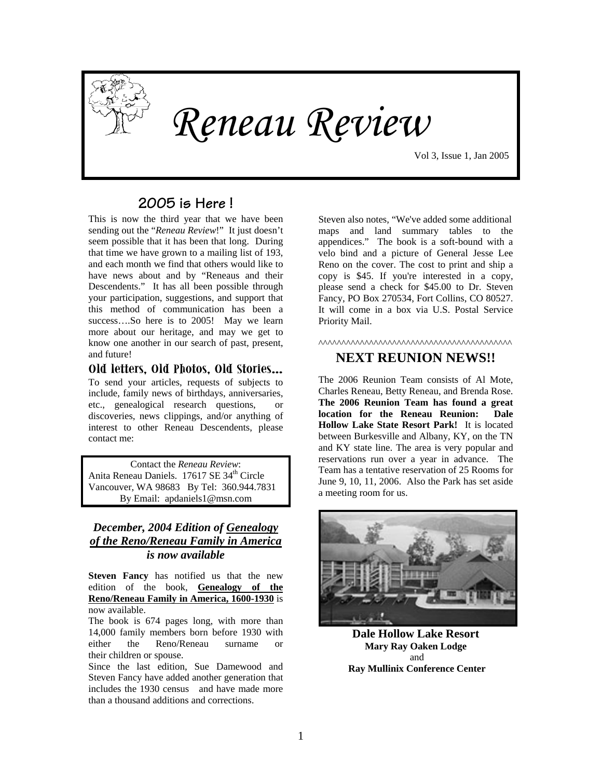

*Reneau Review* 

Vol 3, Issue 1, Jan 2005

## **2005 is Here !**

This is now the third year that we have been sending out the "*Reneau Review*!" It just doesn't seem possible that it has been that long. During that time we have grown to a mailing list of 193, and each month we find that others would like to have news about and by "Reneaus and their Descendents." It has all been possible through your participation, suggestions, and support that this method of communication has been a success....So here is to 2005! May we learn more about our heritage, and may we get to know one another in our search of past, present, and future!

#### **Old letters, Old Photos, Old Stories…**

To send your articles, requests of subjects to include, family news of birthdays, anniversaries, etc., genealogical research questions, or discoveries, news clippings, and/or anything of interest to other Reneau Descendents, please contact me:

Contact the *Reneau Review*: Anita Reneau Daniels. 17617 SE 34<sup>th</sup> Circle Vancouver, WA 98683 By Tel: 360.944.7831 By Email: apdaniels1@msn.com

#### *December, 2004 Edition of Genealogy of the Reno/Reneau Family in America is now available*

**Steven Fancy** has notified us that the new edition of the book, **Genealogy of the Reno/Reneau Family in America, 1600-1930** is now available.

The book is 674 pages long, with more than 14,000 family members born before 1930 with either the Reno/Reneau surname or their children or spouse.

Since the last edition, Sue Damewood and Steven Fancy have added another generation that includes the 1930 census and have made more than a thousand additions and corrections.

Steven also notes, "We've added some additional maps and land summary tables to the appendices." The book is a soft-bound with a velo bind and a picture of General Jesse Lee Reno on the cover. The cost to print and ship a copy is \$45. If you're interested in a copy, please send a check for \$45.00 to Dr. Steven Fancy, PO Box 270534, Fort Collins, CO 80527. It will come in a box via U.S. Postal Service Priority Mail.

^^^^^^^^^^^^^^^^^^^^^^^^^^^^^^^^^^^^^^^^^^

#### **NEXT REUNION NEWS!!**

The 2006 Reunion Team consists of Al Mote, Charles Reneau, Betty Reneau, and Brenda Rose. **The 2006 Reunion Team has found a great location for the Reneau Reunion: Dale Hollow Lake State Resort Park!** It is located between Burkesville and Albany, KY, on the TN and KY state line. The area is very popular and reservations run over a year in advance. The Team has a tentative reservation of 25 Rooms for June 9, 10, 11, 2006. Also the Park has set aside a meeting room for us.



**Dale Hollow Lake Resort Mary [Ray Oaken Lodge](http://parks.ky.gov/../rates/dhlimageslodge.htm)** and **Ray Mullinix Conference Center**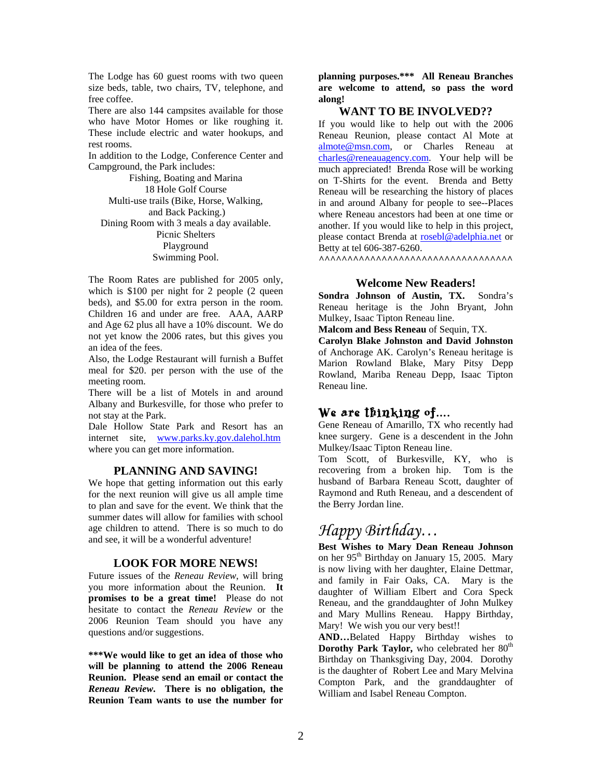The Lodge has 60 guest rooms with two queen size beds, table, two chairs, TV, telephone, and free coffee.

There are also 144 campsites available for those who have Motor Homes or like roughing it. These include electric and water hookups, and rest rooms.

In addition to the Lodge, Conference Center and Campground, the Park includes:

Fishing, Boating and Marina 18 Hole Golf Course Multi-use trails (Bike, Horse, Walking, and Back Packing.) Dining Room with 3 meals a day available. Picnic Shelters Playground Swimming Pool.

The Room Rates are published for 2005 only, which is \$100 per night for 2 people (2 queen beds), and \$5.00 for extra person in the room. Children 16 and under are free. AAA, AARP and Age 62 plus all have a 10% discount. We do not yet know the 2006 rates, but this gives you an idea of the fees.

Also, the Lodge Restaurant will furnish a Buffet meal for \$20. per person with the use of the meeting room.

There will be a list of Motels in and around Albany and Burkesville, for those who prefer to not stay at the Park.

Dale Hollow State Park and Resort has an internet site, [www.parks.ky.gov.dalehol.htm](http://www.parks.ky.gov.dalehol.htm/)  where you can get more information.

#### **PLANNING AND SAVING!**

We hope that getting information out this early for the next reunion will give us all ample time to plan and save for the event. We think that the summer dates will allow for families with school age children to attend. There is so much to do and see, it will be a wonderful adventure!

#### **LOOK FOR MORE NEWS!**

Future issues of the *Reneau Review*, will bring you more information about the Reunion. **It promises to be a great time!** Please do not hesitate to contact the *Reneau Review* or the 2006 Reunion Team should you have any questions and/or suggestions.

**\*\*\*We would like to get an idea of those who will be planning to attend the 2006 Reneau Reunion. Please send an email or contact the** *Reneau Review***. There is no obligation, the Reunion Team wants to use the number for** **planning purposes.\*\*\* All Reneau Branches are welcome to attend, so pass the word along!**

#### **WANT TO BE INVOLVED??**

If you would like to help out with the 2006 Reneau Reunion, please contact Al Mote at [almote@msn.com,](mailto:almote@msn.com) or Charles Reneau at [charles@reneauagency.com](mailto:charles@reneauagency.com). Your help will be much appreciated! Brenda Rose will be working on T-Shirts for the event. Brenda and Betty Reneau will be researching the history of places in and around Albany for people to see--Places where Reneau ancestors had been at one time or another. If you would like to help in this project, please contact Brenda at [rosebl@adelphia.net](mailto:rosebl@adelphia.net) or Betty at tel 606-387-6260.

**^^^^^^^^^^^^^^^^^^^^^^^^^^^^^^^^^^** 

#### **Welcome New Readers!**

**Sondra Johnson of Austin, TX.** Sondra's Reneau heritage is the John Bryant, John Mulkey, Isaac Tipton Reneau line.

**Malcom and Bess Reneau** of Sequin, TX.

**Carolyn Blake Johnston and David Johnston** of Anchorage AK. Carolyn's Reneau heritage is Marion Rowland Blake, Mary Pitsy Depp Rowland, Mariba Reneau Depp, Isaac Tipton Reneau line.

### We are thinking of….

Gene Reneau of Amarillo, TX who recently had knee surgery. Gene is a descendent in the John Mulkey/Isaac Tipton Reneau line.

Tom Scott, of Burkesville, KY, who is recovering from a broken hip. Tom is the husband of Barbara Reneau Scott, daughter of Raymond and Ruth Reneau, and a descendent of the Berry Jordan line.

## *Happy Birthday…*

**Best Wishes to Mary Dean Reneau Johnson** on her 95<sup>th</sup> Birthday on January 15, 2005. Mary is now living with her daughter, Elaine Dettmar, and family in Fair Oaks, CA. Mary is the daughter of William Elbert and Cora Speck Reneau, and the granddaughter of John Mulkey and Mary Mullins Reneau. Happy Birthday, Mary! We wish you our very best!!

**AND…**Belated Happy Birthday wishes to **Dorothy Park Taylor,** who celebrated her 80<sup>th</sup> Birthday on Thanksgiving Day, 2004. Dorothy is the daughter of Robert Lee and Mary Melvina Compton Park, and the granddaughter of William and Isabel Reneau Compton.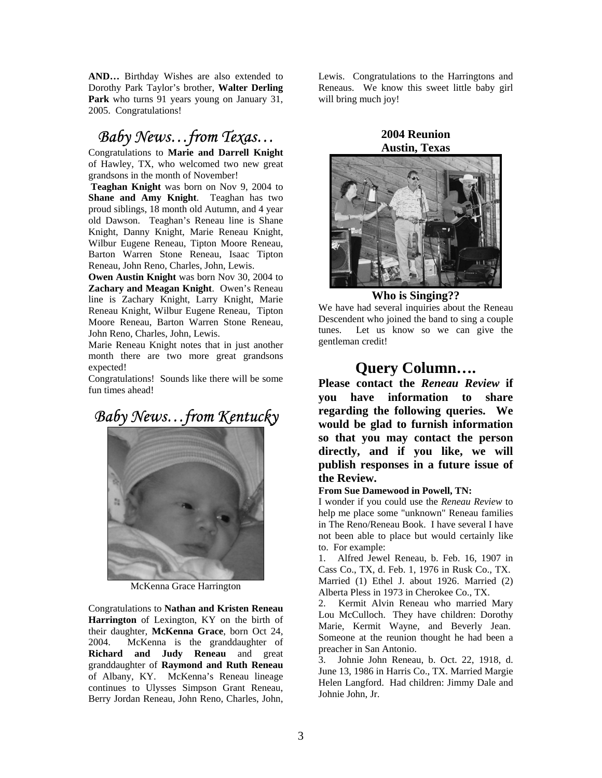**AND…** Birthday Wishes are also extended to Dorothy Park Taylor's brother, **Walter Derling Park** who turns 91 years young on January 31, 2005. Congratulations!

## *Baby News…from Texas…*

Congratulations to **Marie and Darrell Knight** of Hawley, TX, who welcomed two new great grandsons in the month of November!

**Teaghan Knight** was born on Nov 9, 2004 to **Shane and Amy Knight**. Teaghan has two proud siblings, 18 month old Autumn, and 4 year old Dawson. Teaghan's Reneau line is Shane Knight, Danny Knight, Marie Reneau Knight, Wilbur Eugene Reneau, Tipton Moore Reneau, Barton Warren Stone Reneau, Isaac Tipton Reneau, John Reno, Charles, John, Lewis.

**Owen Austin Knight** was born Nov 30, 2004 to **Zachary and Meagan Knight**. Owen's Reneau line is Zachary Knight, Larry Knight, Marie Reneau Knight, Wilbur Eugene Reneau, Tipton Moore Reneau, Barton Warren Stone Reneau, John Reno, Charles, John, Lewis.

Marie Reneau Knight notes that in just another month there are two more great grandsons expected!

Congratulations! Sounds like there will be some fun times ahead!

*Baby News…from Kentucky* 



McKenna Grace Harrington

Congratulations to **Nathan and Kristen Reneau Harrington** of Lexington, KY on the birth of their daughter, **McKenna Grace**, born Oct 24, 2004. McKenna is the granddaughter of **Richard and Judy Reneau** and great granddaughter of **Raymond and Ruth Reneau** of Albany, KY. McKenna's Reneau lineage continues to Ulysses Simpson Grant Reneau, Berry Jordan Reneau, John Reno, Charles, John, Lewis. Congratulations to the Harringtons and Reneaus. We know this sweet little baby girl will bring much joy!

#### **2004 Reunion Austin, Texas**



#### **Who is Singing??**

We have had several inquiries about the Reneau Descendent who joined the band to sing a couple tunes. Let us know so we can give the gentleman credit!

## **Query Column….**

**Please contact the** *Reneau Review* **if you have information to share regarding the following queries. We would be glad to furnish information so that you may contact the person directly, and if you like, we will publish responses in a future issue of the Review. From Sue Damewood in Powell, TN:** 

I wonder if you could use the *Reneau Review* to help me place some "unknown" Reneau families in The Reno/Reneau Book. I have several I have not been able to place but would certainly like to. For example:

1. Alfred Jewel Reneau, b. Feb. 16, 1907 in Cass Co., TX, d. Feb. 1, 1976 in Rusk Co., TX. Married (1) Ethel J. about 1926. Married (2) Alberta Pless in 1973 in Cherokee Co., TX.

2. Kermit Alvin Reneau who married Mary Lou McCulloch. They have children: Dorothy Marie, Kermit Wayne, and Beverly Jean. Someone at the reunion thought he had been a preacher in San Antonio.

3. Johnie John Reneau, b. Oct. 22, 1918, d. June 13, 1986 in Harris Co., TX. Married Margie Helen Langford. Had children: Jimmy Dale and Johnie John, Jr.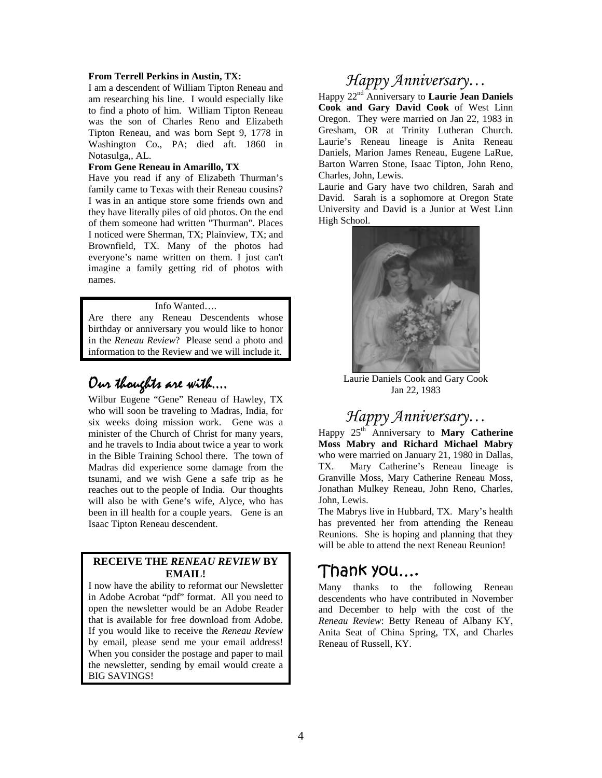#### **From Terrell Perkins in Austin, TX:**

I am a descendent of William Tipton Reneau and am researching his line. I would especially like to find a photo of him. William Tipton Reneau was the son of Charles Reno and Elizabeth Tipton Reneau, and was born Sept 9, 1778 in Washington Co., PA; died aft. 1860 in Notasulga,, AL.

#### **From Gene Reneau in Amarillo, TX**

Have you read if any of Elizabeth Thurman's family came to Texas with their Reneau cousins? I was in an antique store some friends own and they have literally piles of old photos. On the end of them someone had written "Thurman". Places I noticed were Sherman, TX; Plainview, TX; and Brownfield, TX. Many of the photos had everyone's name written on them. I just can't imagine a family getting rid of photos with names.

#### Info Wanted….

Are there any Reneau Descendents whose birthday or anniversary you would like to honor in the *Reneau Review*? Please send a photo and information to the Review and we will include it.

## Our thoughts are with….

Wilbur Eugene "Gene" Reneau of Hawley, TX who will soon be traveling to Madras, India, for six weeks doing mission work. Gene was a minister of the Church of Christ for many years, and he travels to India about twice a year to work in the Bible Training School there. The town of Madras did experience some damage from the tsunami, and we wish Gene a safe trip as he reaches out to the people of India. Our thoughts will also be with Gene's wife, Alyce, who has been in ill health for a couple years. Gene is an Isaac Tipton Reneau descendent.

#### **RECEIVE THE** *RENEAU REVIEW* **BY EMAIL!**

I now have the ability to reformat our Newsletter in Adobe Acrobat "pdf" format. All you need to open the newsletter would be an Adobe Reader that is available for free download from Adobe. If you would like to receive the *Reneau Review*  by email, please send me your email address! When you consider the postage and paper to mail the newsletter, sending by email would create a BIG SAVINGS!

## *Happy Anniversary…*

Happy 22nd Anniversary to **Laurie Jean Daniels Cook and Gary David Cook** of West Linn Oregon. They were married on Jan 22, 1983 in Gresham, OR at Trinity Lutheran Church. Laurie's Reneau lineage is Anita Reneau Daniels, Marion James Reneau, Eugene LaRue, Barton Warren Stone, Isaac Tipton, John Reno, Charles, John, Lewis.

Laurie and Gary have two children, Sarah and David. Sarah is a sophomore at Oregon State University and David is a Junior at West Linn High School.



Laurie Daniels Cook and Gary Cook Jan 22, 1983

## *Happy Anniversary…*

Happy 25th Anniversary to **Mary Catherine Moss Mabry and Richard Michael Mabry** who were married on January 21, 1980 in Dallas, TX. Mary Catherine's Reneau lineage is Granville Moss, Mary Catherine Reneau Moss, Jonathan Mulkey Reneau, John Reno, Charles, John, Lewis.

The Mabrys live in Hubbard, TX. Mary's health has prevented her from attending the Reneau Reunions. She is hoping and planning that they will be able to attend the next Reneau Reunion!

## Thank you….

Many thanks to the following Reneau descendents who have contributed in November and December to help with the cost of the *Reneau Review*: Betty Reneau of Albany KY, Anita Seat of China Spring, TX, and Charles Reneau of Russell, KY.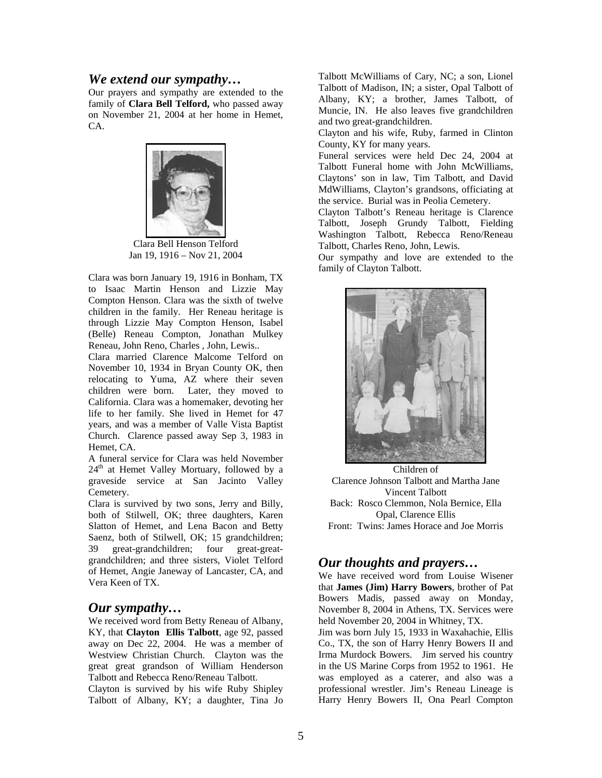#### *We extend our sympathy…*

Our prayers and sympathy are extended to the family of **Clara Bell Telford,** who passed away on November 21, 2004 at her home in Hemet, CA.



Clara Bell Henson Telford Jan 19, 1916 – Nov 21, 2004

Clara was born January 19, 1916 in Bonham, TX to Isaac Martin Henson and Lizzie May Compton Henson. Clara was the sixth of twelve children in the family. Her Reneau heritage is through Lizzie May Compton Henson, Isabel (Belle) Reneau Compton, Jonathan Mulkey Reneau, John Reno, Charles , John, Lewis..

Clara married Clarence Malcome Telford on November 10, 1934 in Bryan County OK, then relocating to Yuma, AZ where their seven children were born. Later, they moved to California. Clara was a homemaker, devoting her life to her family. She lived in Hemet for 47 years, and was a member of Valle Vista Baptist Church. Clarence passed away Sep 3, 1983 in Hemet, CA.

A funeral service for Clara was held November  $24<sup>th</sup>$  at Hemet Valley Mortuary, followed by a graveside service at San Jacinto Valley Cemetery.

Clara is survived by two sons, Jerry and Billy, both of Stilwell, OK; three daughters, Karen Slatton of Hemet, and Lena Bacon and Betty Saenz, both of Stilwell, OK; 15 grandchildren; 39 great-grandchildren; four great-greatgrandchildren; and three sisters, Violet Telford of Hemet, Angie Janeway of Lancaster, CA, and Vera Keen of TX.

#### *Our sympathy…*

We received word from Betty Reneau of Albany, KY, that **Clayton Ellis Talbott**, age 92, passed away on Dec 22, 2004. He was a member of Westview Christian Church. Clayton was the great great grandson of William Henderson Talbott and Rebecca Reno/Reneau Talbott.

Clayton is survived by his wife Ruby Shipley Talbott of Albany, KY; a daughter, Tina Jo Talbott McWilliams of Cary, NC; a son, Lionel Talbott of Madison, IN; a sister, Opal Talbott of Albany, KY; a brother, James Talbott, of Muncie, IN. He also leaves five grandchildren and two great-grandchildren.

Clayton and his wife, Ruby, farmed in Clinton County, KY for many years.

Funeral services were held Dec 24, 2004 at Talbott Funeral home with John McWilliams, Claytons' son in law, Tim Talbott, and David MdWilliams, Clayton's grandsons, officiating at the service. Burial was in Peolia Cemetery.

Clayton Talbott's Reneau heritage is Clarence Talbott, Joseph Grundy Talbott, Fielding Washington Talbott, Rebecca Reno/Reneau Talbott, Charles Reno, John, Lewis.

Our sympathy and love are extended to the family of Clayton Talbott.



Children of Clarence Johnson Talbott and Martha Jane Vincent Talbott Back: Rosco Clemmon, Nola Bernice, Ella Opal, Clarence Ellis Front: Twins: James Horace and Joe Morris

### *Our thoughts and prayers…*

We have received word from Louise Wisener that **James (Jim) Harry Bowers**, brother of Pat Bowers Madis, passed away on Monday, November 8, 2004 in Athens, TX. Services were held November 20, 2004 in Whitney, TX.

Jim was born July 15, 1933 in Waxahachie, Ellis Co., TX, the son of Harry Henry Bowers II and Irma Murdock Bowers. Jim served his country in the US Marine Corps from 1952 to 1961. He was employed as a caterer, and also was a professional wrestler. Jim's Reneau Lineage is Harry Henry Bowers II, Ona Pearl Compton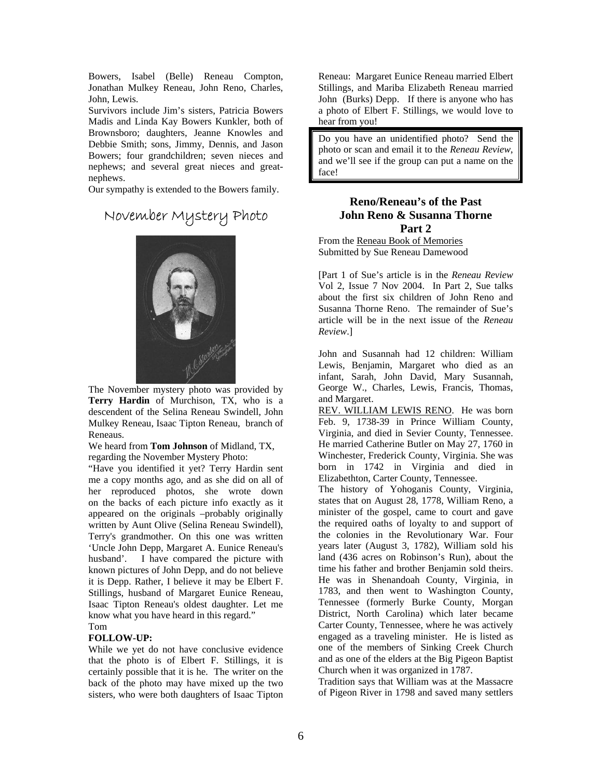Bowers, Isabel (Belle) Reneau Compton, Jonathan Mulkey Reneau, John Reno, Charles, John, Lewis.

Survivors include Jim's sisters, Patricia Bowers Madis and Linda Kay Bowers Kunkler, both of Brownsboro; daughters, Jeanne Knowles and Debbie Smith; sons, Jimmy, Dennis, and Jason Bowers; four grandchildren; seven nieces and nephews; and several great nieces and greatnephews.

Our sympathy is extended to the Bowers family.

# November Mystery Photo



 The November mystery photo was provided by **Terry Hardin** of Murchison, TX, who is a descendent of the Selina Reneau Swindell, John Mulkey Reneau, Isaac Tipton Reneau, branch of Reneaus.

We heard from **Tom Johnson** of Midland, TX, regarding the November Mystery Photo:

"Have you identified it yet? Terry Hardin sent me a copy months ago, and as she did on all of her reproduced photos, she wrote down on the backs of each picture info exactly as it appeared on the originals –probably originally written by Aunt Olive (Selina Reneau Swindell), Terry's grandmother. On this one was written 'Uncle John Depp, Margaret A. Eunice Reneau's husband'. I have compared the picture with known pictures of John Depp, and do not believe it is Depp. Rather, I believe it may be Elbert F. Stillings, husband of Margaret Eunice Reneau, Isaac Tipton Reneau's oldest daughter. Let me know what you have heard in this regard." Tom

#### **FOLLOW-UP:**

While we yet do not have conclusive evidence that the photo is of Elbert F. Stillings, it is certainly possible that it is he. The writer on the back of the photo may have mixed up the two sisters, who were both daughters of Isaac Tipton

Reneau: Margaret Eunice Reneau married Elbert Stillings, and Mariba Elizabeth Reneau married John (Burks) Depp. If there is anyone who has a photo of Elbert F. Stillings, we would love to hear from you!

Do you have an unidentified photo? Send the photo or scan and email it to the *Reneau Review*, and we'll see if the group can put a name on the face!

#### **Reno/Reneau's of the Past John Reno & Susanna Thorne Part 2**

From the Reneau Book of Memories Submitted by Sue Reneau Damewood

[Part 1 of Sue's article is in the *Reneau Review* Vol 2, Issue 7 Nov 2004. In Part 2, Sue talks about the first six children of John Reno and Susanna Thorne Reno. The remainder of Sue's article will be in the next issue of the *Reneau Review*.]

John and Susannah had 12 children: William Lewis, Benjamin, Margaret who died as an infant, Sarah, John David, Mary Susannah, George W., Charles, Lewis, Francis, Thomas, and Margaret.

REV. WILLIAM LEWIS RENO. He was born Feb. 9, 1738-39 in Prince William County, Virginia, and died in Sevier County, Tennessee. He married Catherine Butler on May 27, 1760 in Winchester, Frederick County, Virginia. She was born in 1742 in Virginia and died in Elizabethton, Carter County, Tennessee.

The history of Yohoganis County, Virginia, states that on August 28, 1778, William Reno, a minister of the gospel, came to court and gave the required oaths of loyalty to and support of the colonies in the Revolutionary War. Four years later (August 3, 1782), William sold his land (436 acres on Robinson's Run), about the time his father and brother Benjamin sold theirs. He was in Shenandoah County, Virginia, in 1783, and then went to Washington County, Tennessee (formerly Burke County, Morgan District, North Carolina) which later became Carter County, Tennessee, where he was actively engaged as a traveling minister. He is listed as one of the members of Sinking Creek Church and as one of the elders at the Big Pigeon Baptist Church when it was organized in 1787.

Tradition says that William was at the Massacre of Pigeon River in 1798 and saved many settlers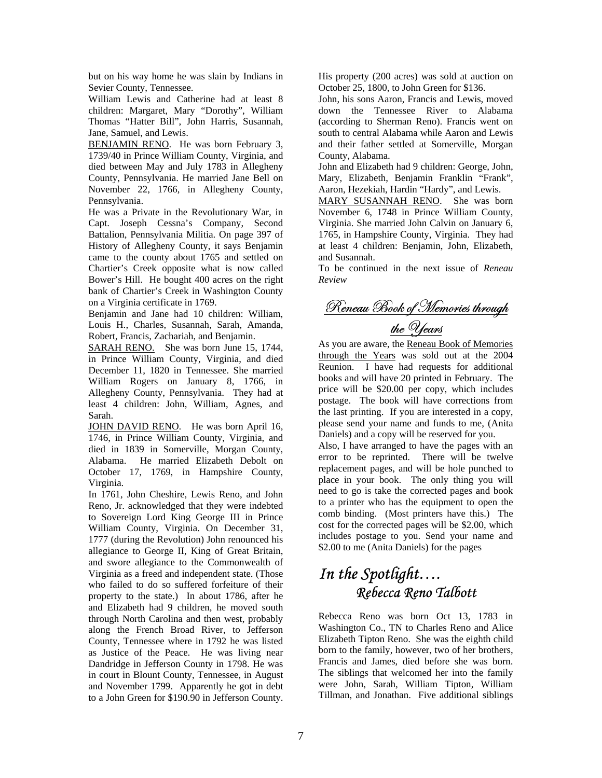but on his way home he was slain by Indians in Sevier County, Tennessee.

William Lewis and Catherine had at least 8 children: Margaret, Mary "Dorothy", William Thomas "Hatter Bill", John Harris, Susannah, Jane, Samuel, and Lewis.

BENJAMIN RENO. He was born February 3, 1739/40 in Prince William County, Virginia, and died between May and July 1783 in Allegheny County, Pennsylvania. He married Jane Bell on November 22, 1766, in Allegheny County, Pennsylvania.

He was a Private in the Revolutionary War, in Capt. Joseph Cessna's Company, Second Battalion, Pennsylvania Militia. On page 397 of History of Allegheny County, it says Benjamin came to the county about 1765 and settled on Chartier's Creek opposite what is now called Bower's Hill. He bought 400 acres on the right bank of Chartier's Creek in Washington County on a Virginia certificate in 1769.

Benjamin and Jane had 10 children: William, Louis H., Charles, Susannah, Sarah, Amanda, Robert, Francis, Zachariah, and Benjamin.

SARAH RENO. She was born June 15, 1744, in Prince William County, Virginia, and died December 11, 1820 in Tennessee. She married William Rogers on January 8, 1766, in Allegheny County, Pennsylvania. They had at least 4 children: John, William, Agnes, and Sarah.

JOHN DAVID RENO. He was born April 16, 1746, in Prince William County, Virginia, and died in 1839 in Somerville, Morgan County, Alabama. He married Elizabeth Debolt on October 17, 1769, in Hampshire County, Virginia.

In 1761, John Cheshire, Lewis Reno, and John Reno, Jr. acknowledged that they were indebted to Sovereign Lord King George III in Prince William County, Virginia. On December 31, 1777 (during the Revolution) John renounced his allegiance to George II, King of Great Britain, and swore allegiance to the Commonwealth of Virginia as a freed and independent state. (Those who failed to do so suffered forfeiture of their property to the state.) In about 1786, after he and Elizabeth had 9 children, he moved south through North Carolina and then west, probably along the French Broad River, to Jefferson County, Tennessee where in 1792 he was listed as Justice of the Peace. He was living near Dandridge in Jefferson County in 1798. He was in court in Blount County, Tennessee, in August and November 1799. Apparently he got in debt to a John Green for \$190.90 in Jefferson County. His property (200 acres) was sold at auction on October 25, 1800, to John Green for \$136.

John, his sons Aaron, Francis and Lewis, moved down the Tennessee River to Alabama (according to Sherman Reno). Francis went on south to central Alabama while Aaron and Lewis and their father settled at Somerville, Morgan County, Alabama.

John and Elizabeth had 9 children: George, John, Mary, Elizabeth, Benjamin Franklin "Frank", Aaron, Hezekiah, Hardin "Hardy", and Lewis.

MARY SUSANNAH RENO. She was born November 6, 1748 in Prince William County, Virginia. She married John Calvin on January 6, 1765, in Hampshire County, Virginia. They had at least 4 children: Benjamin, John, Elizabeth, and Susannah.

To be continued in the next issue of *Reneau Review* 

Reneau Book of Memories through the  $\mathcal{Y}$ ears

As you are aware, the Reneau Book of Memories through the Years was sold out at the 2004 Reunion. I have had requests for additional books and will have 20 printed in February. The price will be \$20.00 per copy, which includes postage. The book will have corrections from the last printing. If you are interested in a copy, please send your name and funds to me, (Anita Daniels) and a copy will be reserved for you.

Also, I have arranged to have the pages with an error to be reprinted. There will be twelve replacement pages, and will be hole punched to place in your book. The only thing you will need to go is take the corrected pages and book to a printer who has the equipment to open the comb binding. (Most printers have this.) The cost for the corrected pages will be \$2.00, which includes postage to you. Send your name and \$2.00 to me (Anita Daniels) for the pages

## *In the Spotlight…. Rebecca Reno Talbott*

Rebecca Reno was born Oct 13, 1783 in Washington Co., TN to Charles Reno and Alice Elizabeth Tipton Reno. She was the eighth child born to the family, however, two of her brothers, Francis and James, died before she was born. The siblings that welcomed her into the family were John, Sarah, William Tipton, William Tillman, and Jonathan. Five additional siblings